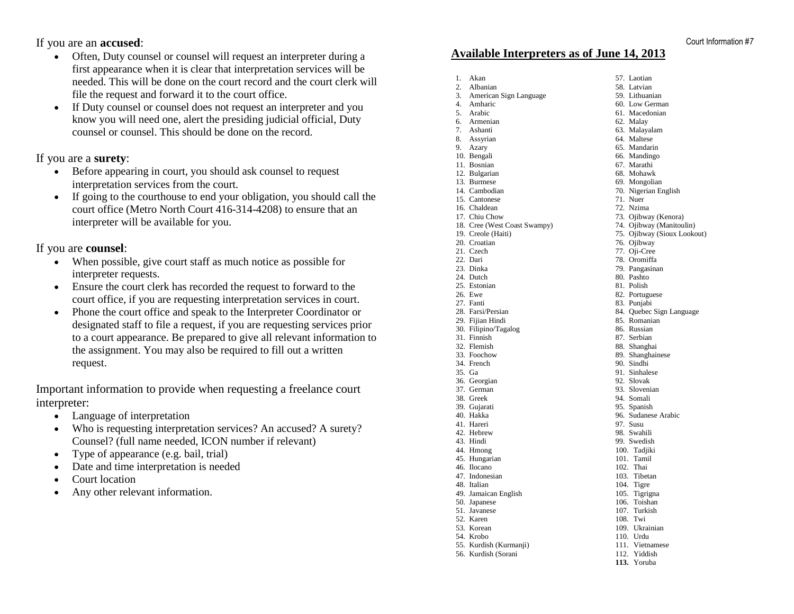If you are an **accused**:

- Often, Duty counsel or counsel will request an interpreter during a first appearance when it is clear that interpretation services will be needed. This will be done on the court record and the court clerk will file the request and forward it to the court office.
- If Duty counsel or counsel does not request an interpreter and you know you will need one, alert the presiding judicial official, Duty counsel or counsel. This should be done on the record.

If you are a **surety**:

- Before appearing in court, you should ask counsel to request interpretation services from the court.
- If going to the courthouse to end your obligation, you should call the court office (Metro North Court 416-314-4208) to ensure that an interpreter will be available for you.

If you are **counsel**:

- When possible, give court staff as much notice as possible for interpreter requests.
- Ensure the court clerk has recorded the request to forward to the court office, if you are requesting interpretation services in court.
- [Phone the court office](http://www.attorneygeneral.jus.gov.on.ca/english/courts/cadaddr.asp) and speak to the Interpreter Coordinator or designated staff to file a request, if you are requesting services prior to a court appearance. Be prepared to give all relevant information to the assignment. You may also be required to fill out a written request.

Important information to provide when requesting a freelance court interpreter:

- Language of interpretation
- Who is requesting interpretation services? An accused? A surety? Counsel? (full name needed, ICON number if relevant)
- Type of appearance (e.g. [bail, trial\)](http://www.attorneygeneral.jus.gov.on.ca/english/courts/interpreters/request.asp)
- Date and time interpretation is needed
- Court location
- Any other relevant information.

#### **Available Interpreters as of June 14, 2013**

1. Akan 2. Albanian

4. Amharic 5. Arabic 6. Armenian 7. Ashanti 8. Assyrian 9. Azary 10. Bengali 11. Bosnian 12. Bulgarian 13. Burmese 14. Cambodian 15. Cantonese 16. Chaldean 17. Chiu Chow

19. Creole (Haiti) 20. Croatian 21. Czech 22. Dari 23. Dinka 24. Dutch 25. Estonian 26. Ewe 27. Fanti 28. Farsi/Persian 29. Fijian Hindi

31. Finnish 32. Flemish 33. Foochow 34. French 35. Ga 36. Georgian 37. German 38. Greek 39. Gujarati 40. Hakka 41. Hareri 42. Hebrew 43. Hindi 44. Hmong 45. Hungarian 46. Ilocano 47. Indonesian 48. Italian

50. Japanese 51. Javanese 52. Karen 53. Korean 54. Krobo

3. American Sign Language 18. Cree (West Coast Swampy) 30. Filipino/Tagalog 49. Jamaican English 55. Kurdish (Kurmanji) 56. Kurdish (Sorani 57. Laotian 58. Latvian 71. Nuer 97. Susu 108. Twi **113.** Yoruba

59. Lithuanian 60. Low German 61. Macedonian 62. Malay 63. Malayalam 64. Maltese 65. Mandarin 66. Mandingo 67. Marathi 68. Mohawk 69. Mongolian 70. Nigerian English 72. Nzima 73. Ojibway (Kenora) 74. Ojibway (Manitoulin) 75. Ojibway (Sioux Lookout) 76. Ojibway 77. Oji-Cree 78. Oromiffa 79. Pangasinan 80. Pashto 81. Polish 82. Portuguese 83. Punjabi 84. Quebec Sign Language 85. Romanian 86. Russian 87. Serbian 88. Shanghai 89. Shanghainese 90. Sindhi 91. Sinhalese 92. Slovak 93. Slovenian 94. Somali 95. Spanish 96. Sudanese Arabic 98. Swahili 99. Swedish 100. Tadjiki 101. Tamil 102. Thai 103. Tibetan 104. Tigre 105. Tigrigna 106. Toishan 107. Turkish 109. Ukrainian 110. Urdu 111. Vietnamese 112. Yiddish